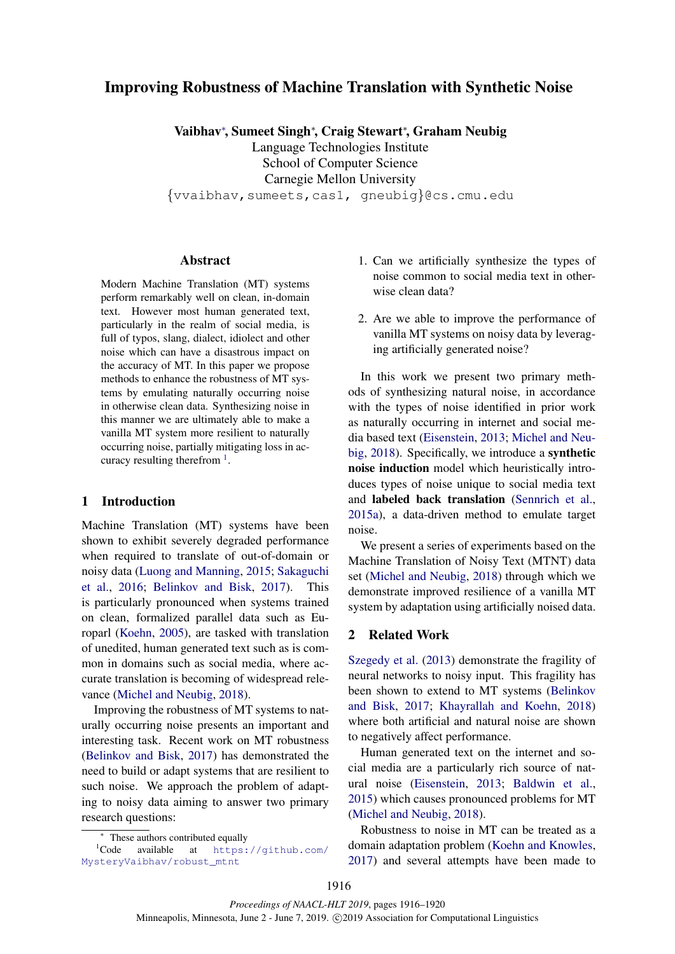# Improving Robustness of Machine Translation with Synthetic Noise

Vaibhav<sup>∗</sup> , Sumeet Singh<sup>∗</sup> , Craig Stewart<sup>∗</sup> , Graham Neubig

Language Technologies Institute School of Computer Science Carnegie Mellon University

{vvaibhav,sumeets,cas1, gneubig}@cs.cmu.edu

#### Abstract

Modern Machine Translation (MT) systems perform remarkably well on clean, in-domain text. However most human generated text, particularly in the realm of social media, is full of typos, slang, dialect, idiolect and other noise which can have a disastrous impact on the accuracy of MT. In this paper we propose methods to enhance the robustness of MT systems by emulating naturally occurring noise in otherwise clean data. Synthesizing noise in this manner we are ultimately able to make a vanilla MT system more resilient to naturally occurring noise, partially mitigating loss in accuracy resulting therefrom  $<sup>1</sup>$  $<sup>1</sup>$  $<sup>1</sup>$ .</sup>

# 1 Introduction

Machine Translation (MT) systems have been shown to exhibit severely degraded performance when required to translate of out-of-domain or noisy data [\(Luong and Manning,](#page-4-0) [2015;](#page-4-0) [Sakaguchi](#page-4-1) [et al.,](#page-4-1) [2016;](#page-4-1) [Belinkov and Bisk,](#page-4-2) [2017\)](#page-4-2). This is particularly pronounced when systems trained on clean, formalized parallel data such as Europarl [\(Koehn,](#page-4-3) [2005\)](#page-4-3), are tasked with translation of unedited, human generated text such as is common in domains such as social media, where accurate translation is becoming of widespread relevance [\(Michel and Neubig,](#page-4-4) [2018\)](#page-4-4).

Improving the robustness of MT systems to naturally occurring noise presents an important and interesting task. Recent work on MT robustness [\(Belinkov and Bisk,](#page-4-2) [2017\)](#page-4-2) has demonstrated the need to build or adapt systems that are resilient to such noise. We approach the problem of adapting to noisy data aiming to answer two primary research questions:

- 1. Can we artificially synthesize the types of noise common to social media text in otherwise clean data?
- 2. Are we able to improve the performance of vanilla MT systems on noisy data by leveraging artificially generated noise?

In this work we present two primary methods of synthesizing natural noise, in accordance with the types of noise identified in prior work as naturally occurring in internet and social media based text [\(Eisenstein,](#page-4-5) [2013;](#page-4-5) [Michel and Neu](#page-4-4)[big,](#page-4-4) [2018\)](#page-4-4). Specifically, we introduce a synthetic noise induction model which heuristically introduces types of noise unique to social media text and labeled back translation [\(Sennrich et al.,](#page-4-6) [2015a\)](#page-4-6), a data-driven method to emulate target noise.

We present a series of experiments based on the Machine Translation of Noisy Text (MTNT) data set [\(Michel and Neubig,](#page-4-4) [2018\)](#page-4-4) through which we demonstrate improved resilience of a vanilla MT system by adaptation using artificially noised data.

## 2 Related Work

[Szegedy et al.](#page-4-7) [\(2013\)](#page-4-7) demonstrate the fragility of neural networks to noisy input. This fragility has been shown to extend to MT systems [\(Belinkov](#page-4-2) [and Bisk,](#page-4-2) [2017;](#page-4-2) [Khayrallah and Koehn,](#page-4-8) [2018\)](#page-4-8) where both artificial and natural noise are shown to negatively affect performance.

Human generated text on the internet and social media are a particularly rich source of natural noise [\(Eisenstein,](#page-4-5) [2013;](#page-4-5) [Baldwin et al.,](#page-4-9) [2015\)](#page-4-9) which causes pronounced problems for MT [\(Michel and Neubig,](#page-4-4) [2018\)](#page-4-4).

Robustness to noise in MT can be treated as a domain adaptation problem [\(Koehn and Knowles,](#page-4-10) [2017\)](#page-4-10) and several attempts have been made to

<span id="page-0-0"></span><sup>∗</sup> These authors contributed equally

<sup>1</sup>Code available at [https://github.com/](https://github.com/MysteryVaibhav/robust_mtnt) [MysteryVaibhav/robust\\_mtnt](https://github.com/MysteryVaibhav/robust_mtnt)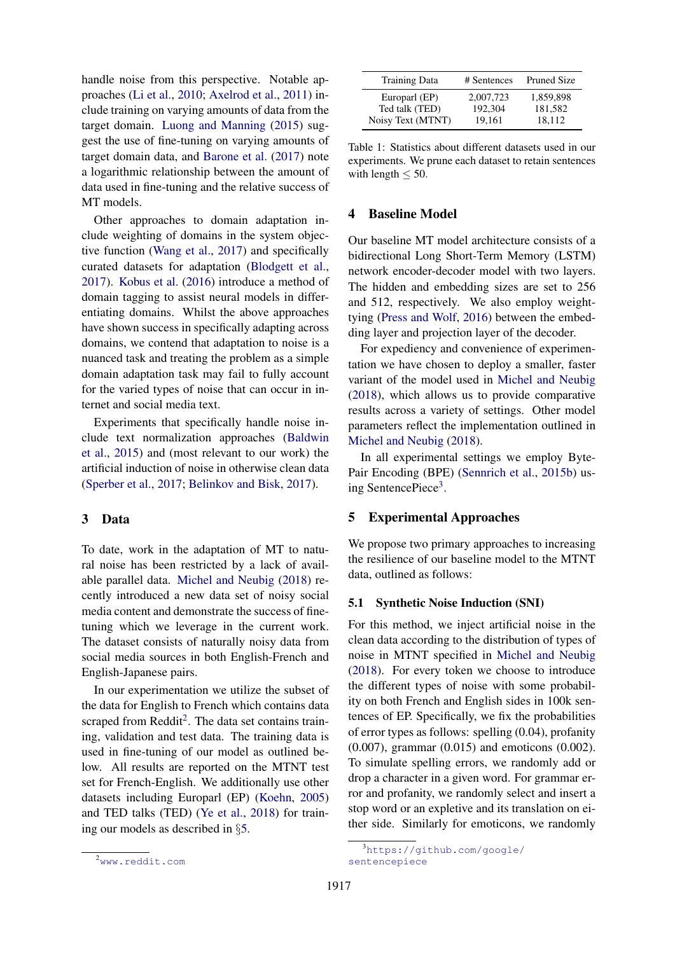handle noise from this perspective. Notable approaches [\(Li et al.,](#page-4-11) [2010;](#page-4-11) [Axelrod et al.,](#page-4-12) [2011\)](#page-4-12) include training on varying amounts of data from the target domain. [Luong and Manning](#page-4-0) [\(2015\)](#page-4-0) suggest the use of fine-tuning on varying amounts of target domain data, and [Barone et al.](#page-4-13) [\(2017\)](#page-4-13) note a logarithmic relationship between the amount of data used in fine-tuning and the relative success of MT models.

Other approaches to domain adaptation include weighting of domains in the system objective function [\(Wang et al.,](#page-4-14) [2017\)](#page-4-14) and specifically curated datasets for adaptation [\(Blodgett et al.,](#page-4-15) [2017\)](#page-4-15). [Kobus et al.](#page-4-16) [\(2016\)](#page-4-16) introduce a method of domain tagging to assist neural models in differentiating domains. Whilst the above approaches have shown success in specifically adapting across domains, we contend that adaptation to noise is a nuanced task and treating the problem as a simple domain adaptation task may fail to fully account for the varied types of noise that can occur in internet and social media text.

Experiments that specifically handle noise include text normalization approaches [\(Baldwin](#page-4-9) [et al.,](#page-4-9) [2015\)](#page-4-9) and (most relevant to our work) the artificial induction of noise in otherwise clean data [\(Sperber et al.,](#page-4-17) [2017;](#page-4-17) [Belinkov and Bisk,](#page-4-2) [2017\)](#page-4-2).

# 3 Data

To date, work in the adaptation of MT to natural noise has been restricted by a lack of available parallel data. [Michel and Neubig](#page-4-4) [\(2018\)](#page-4-4) recently introduced a new data set of noisy social media content and demonstrate the success of finetuning which we leverage in the current work. The dataset consists of naturally noisy data from social media sources in both English-French and English-Japanese pairs.

In our experimentation we utilize the subset of the data for English to French which contains data scraped from Reddit<sup>[2](#page-1-0)</sup>. The data set contains training, validation and test data. The training data is used in fine-tuning of our model as outlined below. All results are reported on the MTNT test set for French-English. We additionally use other datasets including Europarl (EP) [\(Koehn,](#page-4-3) [2005\)](#page-4-3) and TED talks (TED) [\(Ye et al.,](#page-4-18) [2018\)](#page-4-18) for training our models as described in §[5.](#page-1-1)

| <b>Training Data</b> | # Sentences | <b>Pruned Size</b> |
|----------------------|-------------|--------------------|
| Europarl (EP)        | 2.007.723   | 1,859,898          |
| Ted talk (TED)       | 192,304     | 181,582            |
| Noisy Text (MTNT)    | 19.161      | 18,112             |

Table 1: Statistics about different datasets used in our experiments. We prune each dataset to retain sentences with length  $\leq 50$ .

# 4 Baseline Model

Our baseline MT model architecture consists of a bidirectional Long Short-Term Memory (LSTM) network encoder-decoder model with two layers. The hidden and embedding sizes are set to 256 and 512, respectively. We also employ weighttying [\(Press and Wolf,](#page-4-19) [2016\)](#page-4-19) between the embedding layer and projection layer of the decoder.

For expediency and convenience of experimentation we have chosen to deploy a smaller, faster variant of the model used in [Michel and Neubig](#page-4-4) [\(2018\)](#page-4-4), which allows us to provide comparative results across a variety of settings. Other model parameters reflect the implementation outlined in [Michel and Neubig](#page-4-4) [\(2018\)](#page-4-4).

In all experimental settings we employ Byte-Pair Encoding (BPE) [\(Sennrich et al.,](#page-4-20) [2015b\)](#page-4-20) us-ing SentencePiece<sup>[3](#page-1-2)</sup>.

#### <span id="page-1-1"></span>5 Experimental Approaches

We propose two primary approaches to increasing the resilience of our baseline model to the MTNT data, outlined as follows:

#### 5.1 Synthetic Noise Induction (SNI)

For this method, we inject artificial noise in the clean data according to the distribution of types of noise in MTNT specified in [Michel and Neubig](#page-4-4) [\(2018\)](#page-4-4). For every token we choose to introduce the different types of noise with some probability on both French and English sides in 100k sentences of EP. Specifically, we fix the probabilities of error types as follows: spelling (0.04), profanity (0.007), grammar (0.015) and emoticons (0.002). To simulate spelling errors, we randomly add or drop a character in a given word. For grammar error and profanity, we randomly select and insert a stop word or an expletive and its translation on either side. Similarly for emoticons, we randomly

<span id="page-1-0"></span><sup>2</sup><www.reddit.com>

<span id="page-1-2"></span><sup>3</sup>[https://github.com/google/](https://github.com/google/sentencepiece) [sentencepiece](https://github.com/google/sentencepiece)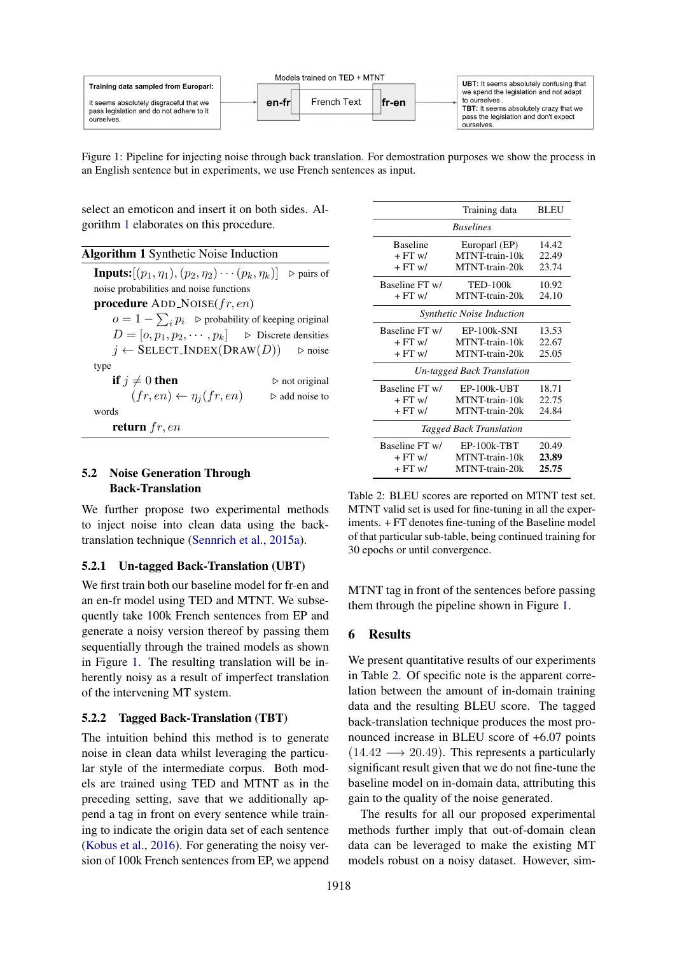<span id="page-2-1"></span>

Figure 1: Pipeline for injecting noise through back translation. For demostration purposes we show the process in an English sentence but in experiments, we use French sentences as input.

select an emoticon and insert it on both sides. Algorithm [1](#page-2-0) elaborates on this procedure.

<span id="page-2-0"></span>

| <b>Algorithm 1</b> Synthetic Noise Induction                                                      |  |
|---------------------------------------------------------------------------------------------------|--|
| <b>Inputs:</b> $[(p_1, \eta_1), (p_2, \eta_2) \cdots (p_k, \eta_k)]$<br>$\triangleright$ pairs of |  |
| noise probabilities and noise functions                                                           |  |
| <b>procedure</b> ADD_NOISE $(fr, en)$                                                             |  |
| $o = 1 - \sum_i p_i$ $\triangleright$ probability of keeping original                             |  |
| $D = [o, p_1, p_2, \cdots, p_k]$ $\triangleright$ Discrete densities                              |  |
| $j \leftarrow$ SELECT_INDEX(DRAW(D)) $\triangleright$ noise                                       |  |
| type                                                                                              |  |
| if $j \neq 0$ then<br>$\triangleright$ not original                                               |  |
| $(fr, en) \leftarrow \eta_i(fr, en)$<br>$\triangleright$ add noise to                             |  |
| words                                                                                             |  |
| return $fr, en$                                                                                   |  |
|                                                                                                   |  |

# 5.2 Noise Generation Through Back-Translation

We further propose two experimental methods to inject noise into clean data using the backtranslation technique [\(Sennrich et al.,](#page-4-6) [2015a\)](#page-4-6).

# 5.2.1 Un-tagged Back-Translation (UBT)

We first train both our baseline model for fr-en and an en-fr model using TED and MTNT. We subsequently take 100k French sentences from EP and generate a noisy version thereof by passing them sequentially through the trained models as shown in Figure [1.](#page-2-1) The resulting translation will be inherently noisy as a result of imperfect translation of the intervening MT system.

#### 5.2.2 Tagged Back-Translation (TBT)

The intuition behind this method is to generate noise in clean data whilst leveraging the particular style of the intermediate corpus. Both models are trained using TED and MTNT as in the preceding setting, save that we additionally append a tag in front on every sentence while training to indicate the origin data set of each sentence [\(Kobus et al.,](#page-4-16) [2016\)](#page-4-16). For generating the noisy version of 100k French sentences from EP, we append

<span id="page-2-2"></span>

|                                  | Training data              | <b>BLEU</b> |  |
|----------------------------------|----------------------------|-------------|--|
|                                  | <b>Baselines</b>           |             |  |
| <b>Baseline</b>                  | Europarl (EP)              | 14.42       |  |
| $+FT$ w/                         | MTNT-train-10k             | 22.49       |  |
| $+FT$ w/                         | MTNT-train-20k             | 23.74       |  |
| Baseline FT w/                   | <b>TED-100k</b>            | 10.92       |  |
| $+FT$ w/                         | MTNT-train-20k             | 24.10       |  |
| <b>Synthetic Noise Induction</b> |                            |             |  |
| Baseline FT w/                   | EP-100k-SNI                | 13.53       |  |
| $+FT$ w/                         | MTNT-train-10k             | 22.67       |  |
| $+FT$ w/                         | MTNT-train-20k             | 25.05       |  |
|                                  | Un-tagged Back Translation |             |  |
| Baseline FT w/                   | $EP-100k-UBT$              | 18.71       |  |
| $+FT$ w/                         | MTNT-train-10k             | 22.75       |  |
| $+FT$ w/                         | MTNT-train-20k             | 24.84       |  |
| <i>Tagged Back Translation</i>   |                            |             |  |
| Baseline FT w/                   | EP-100k-TBT                | 20.49       |  |
| $+FT$ w/                         | MTNT-train-10k             | 23.89       |  |
| $+FT$ w/                         | MTNT-train-20k             | 25.75       |  |
|                                  |                            |             |  |

Table 2: BLEU scores are reported on MTNT test set. MTNT valid set is used for fine-tuning in all the experiments. + FT denotes fine-tuning of the Baseline model of that particular sub-table, being continued training for 30 epochs or until convergence.

MTNT tag in front of the sentences before passing them through the pipeline shown in Figure [1.](#page-2-1)

# 6 Results

We present quantitative results of our experiments in Table [2.](#page-2-2) Of specific note is the apparent correlation between the amount of in-domain training data and the resulting BLEU score. The tagged back-translation technique produces the most pronounced increase in BLEU score of +6.07 points  $(14.42 \rightarrow 20.49)$ . This represents a particularly significant result given that we do not fine-tune the baseline model on in-domain data, attributing this gain to the quality of the noise generated.

The results for all our proposed experimental methods further imply that out-of-domain clean data can be leveraged to make the existing MT models robust on a noisy dataset. However, sim-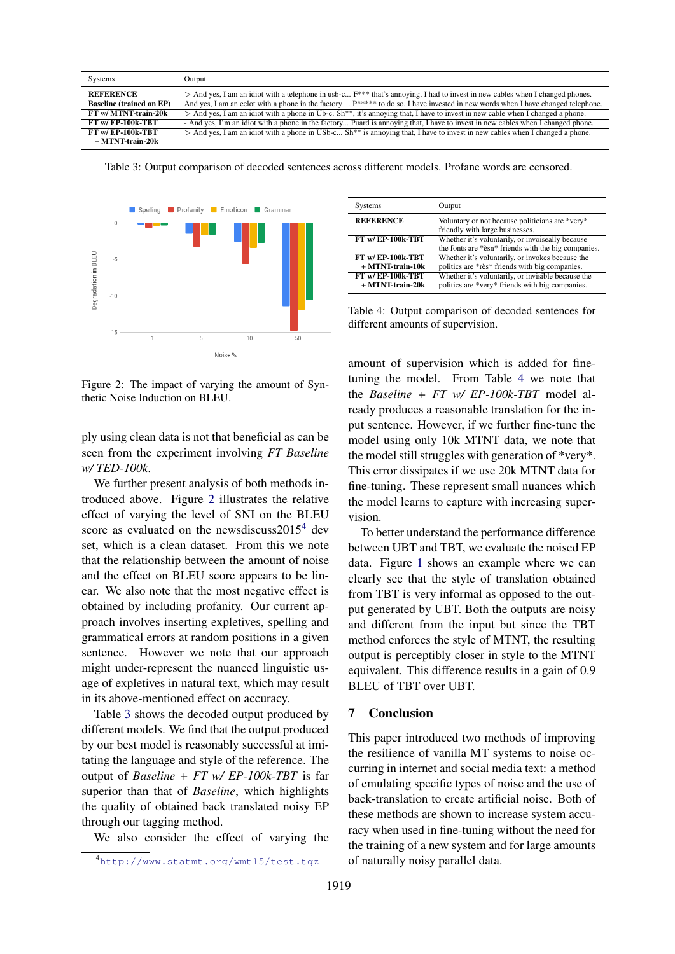<span id="page-3-2"></span>

| Systems                         | Output                                                                                                                               |
|---------------------------------|--------------------------------------------------------------------------------------------------------------------------------------|
| <b>REFERENCE</b>                | $>$ And yes, I am an idiot with a telephone in usb-c $F^{***}$ that's annoying, I had to invest in new cables when I changed phones. |
| <b>Baseline (trained on EP)</b> | And yes, I am an eelot with a phone in the factory $P^{****}$ to do so, I have invested in new words when I have changed telephone.  |
| FT w/ MTNT-train-20k            | $>$ And yes, I am an idiot with a phone in Ub-c. Sh**, it's annoying that, I have to invest in new cable when I changed a phone.     |
| <b>FT w/ EP-100k-TBT</b>        | - And yes, I'm an idiot with a phone in the factory Puard is annoying that, I have to invest in new cables when I changed phone.     |
| <b>FT w/ EP-100k-TBT</b>        | $>$ And yes, I am an idiot with a phone in USb-c Sh** is annoying that, I have to invest in new cables when I changed a phone.       |
| $+$ MTNT-train-20 $k$           |                                                                                                                                      |

Table 3: Output comparison of decoded sentences across different models. Profane words are censored.

<span id="page-3-0"></span>

Figure 2: The impact of varying the amount of Synthetic Noise Induction on BLEU.

ply using clean data is not that beneficial as can be seen from the experiment involving *FT Baseline w/ TED-100k*.

We further present analysis of both methods introduced above. Figure [2](#page-3-0) illustrates the relative effect of varying the level of SNI on the BLEU score as evaluated on the newsdiscuss $2015<sup>4</sup>$  $2015<sup>4</sup>$  $2015<sup>4</sup>$  dev set, which is a clean dataset. From this we note that the relationship between the amount of noise and the effect on BLEU score appears to be linear. We also note that the most negative effect is obtained by including profanity. Our current approach involves inserting expletives, spelling and grammatical errors at random positions in a given sentence. However we note that our approach might under-represent the nuanced linguistic usage of expletives in natural text, which may result in its above-mentioned effect on accuracy.

Table [3](#page-3-2) shows the decoded output produced by different models. We find that the output produced by our best model is reasonably successful at imitating the language and style of the reference. The output of *Baseline + FT w/ EP-100k-TBT* is far superior than that of *Baseline*, which highlights the quality of obtained back translated noisy EP through our tagging method.

We also consider the effect of varying the

<span id="page-3-3"></span>

| <b>Systems</b>                            | Output                                                                                                  |
|-------------------------------------------|---------------------------------------------------------------------------------------------------------|
| <b>REFERENCE</b>                          | Voluntary or not because politicians are *very*<br>friendly with large businesses.                      |
| <b>FT w/ EP-100k-TBT</b>                  | Whether it's voluntarily, or invoiseally because<br>the fonts are *èsn* friends with the big companies. |
| FT w/EP-100k-TBT<br>$+$ MTNT-train-10 $k$ | Whether it's voluntarily, or invokes because the<br>politics are *rès* friends with big companies.      |
| FT w/EP-100k-TBT<br>$+$ MTNT-train-20 $k$ | Whether it's voluntarily, or invisible because the<br>politics are *very* friends with big companies.   |

Table 4: Output comparison of decoded sentences for different amounts of supervision.

amount of supervision which is added for finetuning the model. From Table [4](#page-3-3) we note that the *Baseline + FT w/ EP-100k-TBT* model already produces a reasonable translation for the input sentence. However, if we further fine-tune the model using only 10k MTNT data, we note that the model still struggles with generation of \*very\*. This error dissipates if we use 20k MTNT data for fine-tuning. These represent small nuances which the model learns to capture with increasing supervision.

To better understand the performance difference between UBT and TBT, we evaluate the noised EP data. Figure [1](#page-2-1) shows an example where we can clearly see that the style of translation obtained from TBT is very informal as opposed to the output generated by UBT. Both the outputs are noisy and different from the input but since the TBT method enforces the style of MTNT, the resulting output is perceptibly closer in style to the MTNT equivalent. This difference results in a gain of 0.9 BLEU of TBT over UBT.

# 7 Conclusion

This paper introduced two methods of improving the resilience of vanilla MT systems to noise occurring in internet and social media text: a method of emulating specific types of noise and the use of back-translation to create artificial noise. Both of these methods are shown to increase system accuracy when used in fine-tuning without the need for the training of a new system and for large amounts of naturally noisy parallel data.

<span id="page-3-1"></span><sup>4</sup><http://www.statmt.org/wmt15/test.tgz>